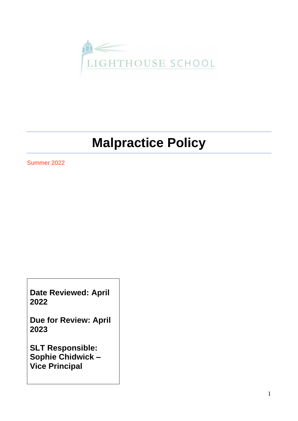

# **Malpractice Policy**

Summer 2022

**Date Reviewed: April 2022**

**Due for Review: April 2023**

**SLT Responsible: Sophie Chidwick – Vice Principal**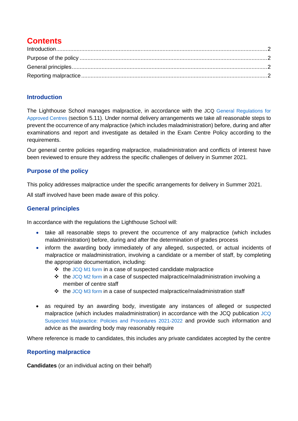# **Contents**

### <span id="page-1-0"></span>**Introduction**

The Lighthouse School manages malpractice, in accordance with the JCQ [General Regulations for](https://www.jcq.org.uk/exams-office/general-regulations/)  [Approved Centres](https://www.jcq.org.uk/exams-office/general-regulations/) (section 5.11). Under normal delivery arrangements we take all reasonable steps to prevent the occurrence of any malpractice (which includes maladministration) before, during and after examinations and report and investigate as detailed in the Exam Centre Policy according to the requirements.

Our general centre policies regarding malpractice, maladministration and conflicts of interest have been reviewed to ensure they address the specific challenges of delivery in Summer 2021.

## <span id="page-1-1"></span>**Purpose of the policy**

This policy addresses malpractice under the specific arrangements for delivery in Summer 2021.

All staff involved have been made aware of this policy.

### <span id="page-1-2"></span>**General principles**

In accordance with the regulations the Lighthouse School will:

- take all reasonable steps to prevent the occurrence of any malpractice (which includes maladministration) before, during and after the determination of grades process
- inform the awarding body immediately of any alleged, suspected, or actual incidents of malpractice or maladministration, involving a candidate or a member of staff, by completing the appropriate documentation, including:
	- ❖ the [JCQ M1 form](https://www.jcq.org.uk/exams-office/malpractice/) in a case of suspected candidate malpractice
	- ❖ the [JCQ M2 form](https://www.jcq.org.uk/exams-office/malpractice/) in a case of suspected malpractice/maladministration involving a member of centre staff
	- ❖ the [JCQ M3](https://www.jcq.org.uk/exams-office/malpractice/) form in a case of suspected malpractice/maladministration staff
- as required by an awarding body, investigate any instances of alleged or suspected malpractice (which includes maladministration) in accordance with the JCQ publication [JCQ](https://www.jcq.org.uk/exams-office/malpractice/)  [Suspected Malpractice: Policies and Procedures 2021-2022](https://www.jcq.org.uk/exams-office/malpractice/) and provide such information and advice as the awarding body may reasonably require

Where reference is made to candidates, this includes any private candidates accepted by the centre

#### <span id="page-1-3"></span>**Reporting malpractice**

**Candidates** (or an individual acting on their behalf)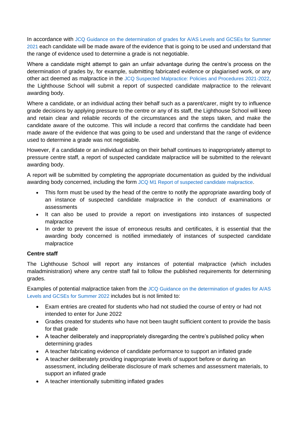In accordance with [JCQ Guidance on the determination of grades for A/AS Levels and GCSEs for Summer](https://www.jcq.org.uk/summer-2021-arrangements/)  [2021](https://www.jcq.org.uk/summer-2021-arrangements/) each candidate will be made aware of the evidence that is going to be used and understand that the range of evidence used to determine a grade is not negotiable.

Where a candidate might attempt to gain an unfair advantage during the centre's process on the determination of grades by, for example, submitting fabricated evidence or plagiarised work, or any other act deemed as malpractice in the [JCQ Suspected Malpractice: Policies and Procedures](https://www.jcq.org.uk/exams-office/malpractice/) 2021-2022, the Lighthouse School will submit a report of suspected candidate malpractice to the relevant awarding body.

Where a candidate, or an individual acting their behalf such as a parent/carer, might try to influence grade decisions by applying pressure to the centre or any of its staff, the Lighthouse School will keep and retain clear and reliable records of the circumstances and the steps taken, and make the candidate aware of the outcome. This will include a record that confirms the candidate had been made aware of the evidence that was going to be used and understand that the range of evidence used to determine a grade was not negotiable.

However, if a candidate or an individual acting on their behalf continues to inappropriately attempt to pressure centre staff, a report of suspected candidate malpractice will be submitted to the relevant awarding body.

A report will be submitted by completing the appropriate documentation as guided by the individual awarding body concerned, including the form [JCQ M1 Report of suspected candidate malpractice.](https://www.jcq.org.uk/exams-office/malpractice/)

- This form must be used by the head of the centre to notify the appropriate awarding body of an instance of suspected candidate malpractice in the conduct of examinations or assessments
- It can also be used to provide a report on investigations into instances of suspected malpractice
- In order to prevent the issue of erroneous results and certificates, it is essential that the awarding body concerned is notified immediately of instances of suspected candidate malpractice

#### **Centre staff**

The Lighthouse School will report any instances of potential malpractice (which includes maladministration) where any centre staff fail to follow the published requirements for determining grades.

Examples of potential malpractice taken from the [JCQ Guidance on the determination of grades for A/AS](https://www.jcq.org.uk/summer-2021-arrangements/)  [Levels and GCSEs for Summer 2022](https://www.jcq.org.uk/summer-2021-arrangements/) includes but is not limited to:

- Exam entries are created for students who had not studied the course of entry or had not intended to enter for June 2022
- Grades created for students who have not been taught sufficient content to provide the basis for that grade
- A teacher deliberately and inappropriately disregarding the centre's published policy when determining grades
- A teacher fabricating evidence of candidate performance to support an inflated grade
- A teacher deliberately providing inappropriate levels of support before or during an assessment, including deliberate disclosure of mark schemes and assessment materials, to support an inflated grade
- A teacher intentionally submitting inflated grades